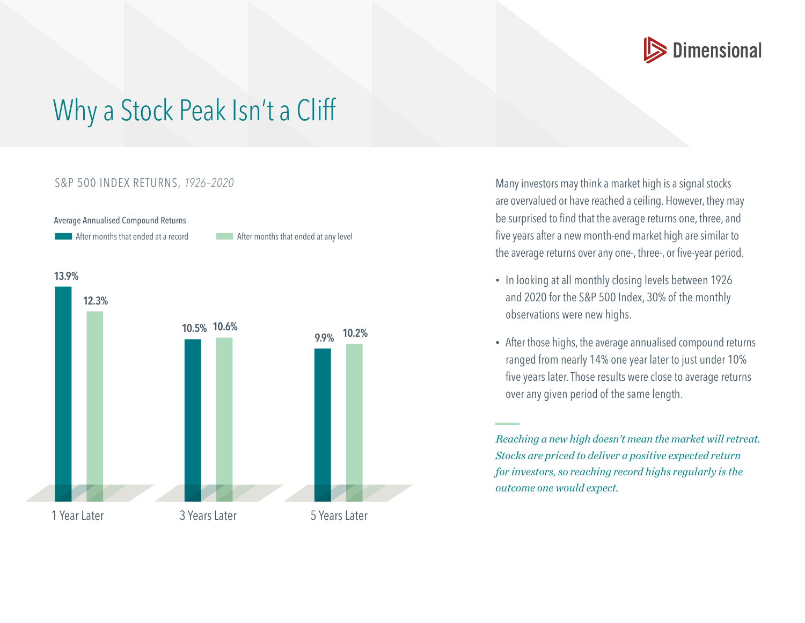

## Why a Stock Peak Isn't a Cliff

## S&P 500 INDEX RETURNS, *1926–2020*

Average Annualised Compound Returns



Many investors may think a market high is a signal stocks are overvalued or have reached a ceiling. However, they may be surprised to find that the average returns one, three, and five years after a new month-end market high are similar to the average returns over any one-, three-, or five-year period.

- In looking at all monthly closing levels between 1926 and 2020 for the S&P 500 Index, 30% of the monthly observations were new highs.
- After those highs, the average annualised compound returns ranged from nearly 14% one year later to just under 10% five years later. Those results were close to average returns over any given period of the same length.

*Reaching a new high doesn't mean the market will retreat. Stocks are priced to deliver a positive expected return for investors, so reaching record highs regularly is the outcome one would expect.*